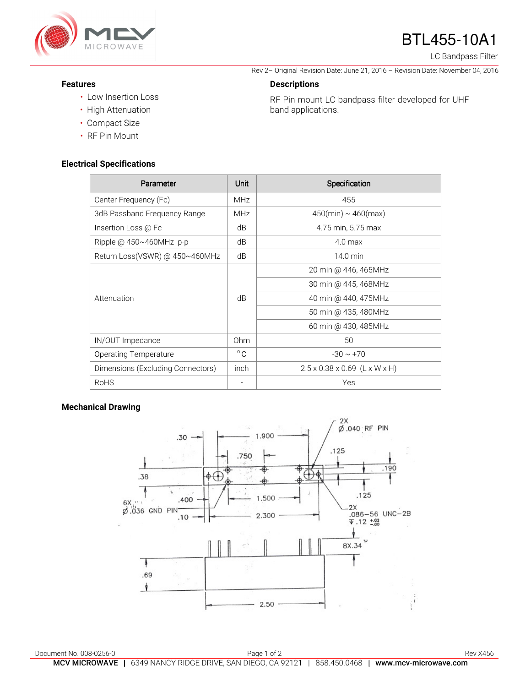

# BTL455-10A1

Rev 2– Original Revision Date: June 21, 2016 – Revision Date: November 04, 2016

RF Pin mount LC bandpass filter developed for UHF

LC Bandpass Filter

#### **Features**

- Low Insertion Loss
- High Attenuation
- Compact Size
- RF Pin Mount

### **Electrical Specifications**

Parameter **Parameter Parameter** Parameter **Parameter Parameter Parameter Parameter** Center Frequency (Fc) MHz MHz 455 3dB Passband Frequency Range  $\parallel$  MHz  $\parallel$  450(min) ~ 460(max) Insertion Loss @ Fc dB dB 4.75 min, 5.75 max Ripple  $\omega$  450~460MHz p-p dB  $\vert$  dB 4.0 max Return Loss(VSWR) @  $450 \sim 460$ MHz dB  $\vert$  dB 14.0 min Attenuation dB 20 min @ 446, 465MHz 30 min @ 445, 468MHz 40 min @ 440, 475MHz 50 min @ 435, 480MHz 60 min @ 430, 485MHz IN/OUT Impedance **Ohm** 50 Operating Temperature  $\begin{array}{c|c}\n\circ & \circ \\
\circ & \circ\n\end{array}$  -30 ~ +70 Dimensions (Excluding Connectors)  $\vert$  inch 2.5 x 0.38 x 0.69 (L x W x H) RoHS - Yes

**Descriptions** 

band applications.

#### **Mechanical Drawing**